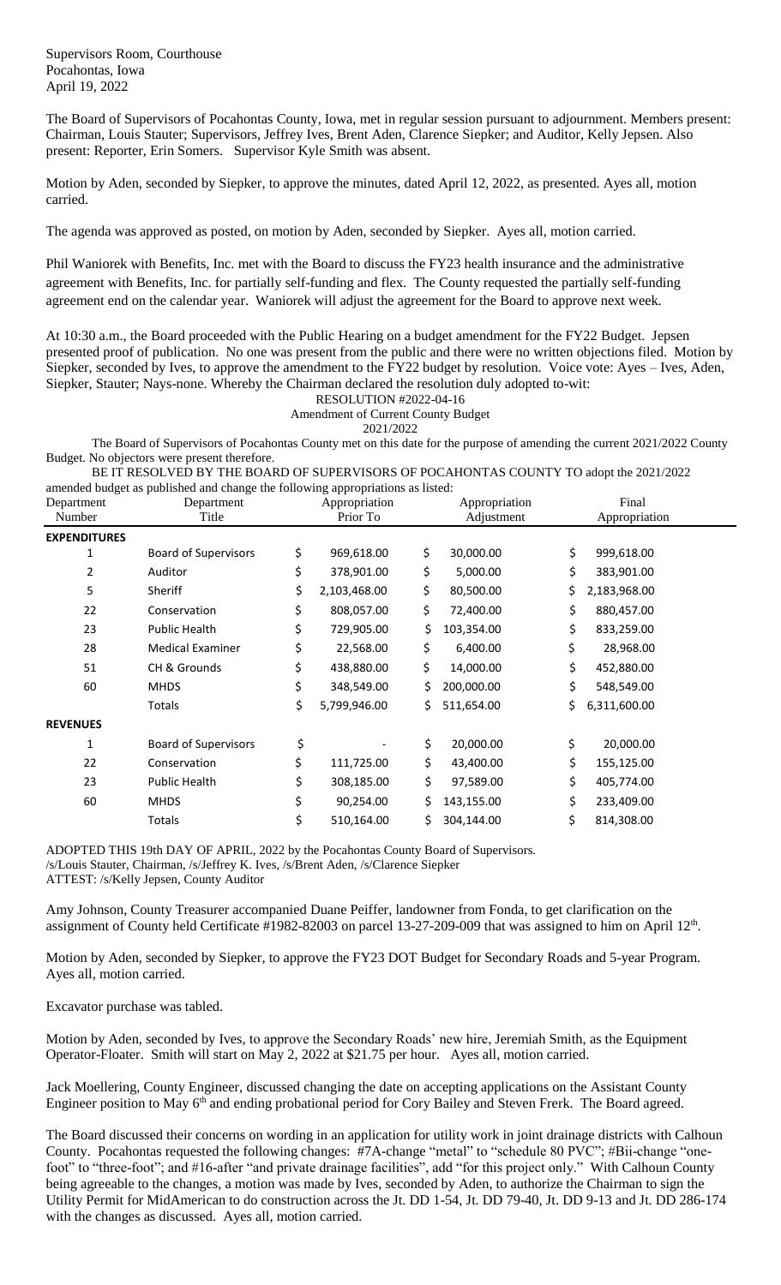Supervisors Room, Courthouse Pocahontas, Iowa April 19, 2022

The Board of Supervisors of Pocahontas County, Iowa, met in regular session pursuant to adjournment. Members present: Chairman, Louis Stauter; Supervisors, Jeffrey Ives, Brent Aden, Clarence Siepker; and Auditor, Kelly Jepsen. Also present: Reporter, Erin Somers. Supervisor Kyle Smith was absent.

Motion by Aden, seconded by Siepker, to approve the minutes, dated April 12, 2022, as presented. Ayes all, motion carried.

The agenda was approved as posted, on motion by Aden, seconded by Siepker. Ayes all, motion carried.

Phil Waniorek with Benefits, Inc. met with the Board to discuss the FY23 health insurance and the administrative agreement with Benefits, Inc. for partially self-funding and flex. The County requested the partially self-funding agreement end on the calendar year. Waniorek will adjust the agreement for the Board to approve next week.

At 10:30 a.m., the Board proceeded with the Public Hearing on a budget amendment for the FY22 Budget. Jepsen presented proof of publication. No one was present from the public and there were no written objections filed. Motion by Siepker, seconded by Ives, to approve the amendment to the FY22 budget by resolution. Voice vote: Ayes – Ives, Aden, Siepker, Stauter; Nays-none. Whereby the Chairman declared the resolution duly adopted to-wit:

RESOLUTION #2022-04-16

Amendment of Current County Budget

2021/2022

The Board of Supervisors of Pocahontas County met on this date for the purpose of amending the current 2021/2022 County Budget. No objectors were present therefore.

BE IT RESOLVED BY THE BOARD OF SUPERVISORS OF POCAHONTAS COUNTY TO adopt the 2021/2022 amended budget as published and change the following appropriations as listed:

| Department          | Department                  |    | Appropriation |     | Appropriation |    | Final         |  |
|---------------------|-----------------------------|----|---------------|-----|---------------|----|---------------|--|
| Number              | Title                       |    | Prior To      |     | Adjustment    |    | Appropriation |  |
| <b>EXPENDITURES</b> |                             |    |               |     |               |    |               |  |
| 1                   | <b>Board of Supervisors</b> | \$ | 969,618.00    | \$  | 30,000.00     | \$ | 999,618.00    |  |
| 2                   | Auditor                     | \$ | 378,901.00    | \$  | 5,000.00      | \$ | 383,901.00    |  |
| 5                   | Sheriff                     | \$ | 2,103,468.00  | \$  | 80,500.00     | \$ | 2,183,968.00  |  |
| 22                  | Conservation                | \$ | 808,057.00    | \$. | 72,400.00     | \$ | 880,457.00    |  |
| 23                  | <b>Public Health</b>        | \$ | 729,905.00    | \$  | 103,354.00    | \$ | 833,259.00    |  |
| 28                  | <b>Medical Examiner</b>     | \$ | 22,568.00     | \$. | 6,400.00      | \$ | 28,968.00     |  |
| 51                  | CH & Grounds                | \$ | 438,880.00    | \$  | 14,000.00     | \$ | 452,880.00    |  |
| 60                  | <b>MHDS</b>                 | \$ | 348,549.00    | \$  | 200,000.00    | \$ | 548,549.00    |  |
|                     | Totals                      | \$ | 5,799,946.00  | Ś.  | 511,654.00    | Ś. | 6,311,600.00  |  |
| <b>REVENUES</b>     |                             |    |               |     |               |    |               |  |
| $\mathbf{1}$        | <b>Board of Supervisors</b> | \$ |               | \$  | 20,000.00     | \$ | 20,000.00     |  |
| 22                  | Conservation                | Ś  | 111,725.00    | \$  | 43,400.00     | \$ | 155,125.00    |  |
| 23                  | <b>Public Health</b>        | \$ | 308,185.00    | \$  | 97,589.00     | \$ | 405,774.00    |  |
| 60                  | <b>MHDS</b>                 | \$ | 90,254.00     | \$  | 143,155.00    | \$ | 233,409.00    |  |
|                     | Totals                      | \$ | 510,164.00    | Ś   | 304,144.00    | \$ | 814,308.00    |  |
|                     |                             |    |               |     |               |    |               |  |

ADOPTED THIS 19th DAY OF APRIL, 2022 by the Pocahontas County Board of Supervisors. /s/Louis Stauter, Chairman, /s/Jeffrey K. Ives, /s/Brent Aden, /s/Clarence Siepker

ATTEST: /s/Kelly Jepsen, County Auditor

Amy Johnson, County Treasurer accompanied Duane Peiffer, landowner from Fonda, to get clarification on the assignment of County held Certificate #1982-82003 on parcel 13-27-209-009 that was assigned to him on April  $12<sup>th</sup>$ .

Motion by Aden, seconded by Siepker, to approve the FY23 DOT Budget for Secondary Roads and 5-year Program. Ayes all, motion carried.

Excavator purchase was tabled.

Motion by Aden, seconded by Ives, to approve the Secondary Roads' new hire, Jeremiah Smith, as the Equipment Operator-Floater. Smith will start on May 2, 2022 at \$21.75 per hour. Ayes all, motion carried.

Jack Moellering, County Engineer, discussed changing the date on accepting applications on the Assistant County Engineer position to May 6<sup>th</sup> and ending probational period for Cory Bailey and Steven Frerk. The Board agreed.

The Board discussed their concerns on wording in an application for utility work in joint drainage districts with Calhoun County. Pocahontas requested the following changes: #7A-change "metal" to "schedule 80 PVC"; #Bii-change "onefoot" to "three-foot"; and #16-after "and private drainage facilities", add "for this project only." With Calhoun County being agreeable to the changes, a motion was made by Ives, seconded by Aden, to authorize the Chairman to sign the Utility Permit for MidAmerican to do construction across the Jt. DD 1-54, Jt. DD 79-40, Jt. DD 9-13 and Jt. DD 286-174 with the changes as discussed. Ayes all, motion carried.